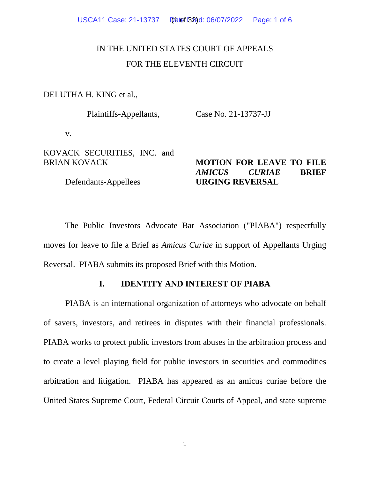# IN THE UNITED STATES COURT OF APPEALS FOR THE ELEVENTH CIRCUIT

DELUTHA H. KING et al.,

Plaintiffs-Appellants, Case No. 21-13737-JJ

v.

KOVACK SECURITIES, INC. and BRIAN KOVACK

Defendants-Appellees

## **MOTION FOR LEAVE TO FILE**  *AMICUS CURIAE* **BRIEF URGING REVERSAL**

The Public Investors Advocate Bar Association ("PIABA") respectfully moves for leave to file a Brief as *Amicus Curiae* in support of Appellants Urging Reversal. PIABA submits its proposed Brief with this Motion.

## **I. IDENTITY AND INTEREST OF PIABA**

PIABA is an international organization of attorneys who advocate on behalf of savers, investors, and retirees in disputes with their financial professionals. PIABA works to protect public investors from abuses in the arbitration process and to create a level playing field for public investors in securities and commodities arbitration and litigation. PIABA has appeared as an amicus curiae before the United States Supreme Court, Federal Circuit Courts of Appeal, and state supreme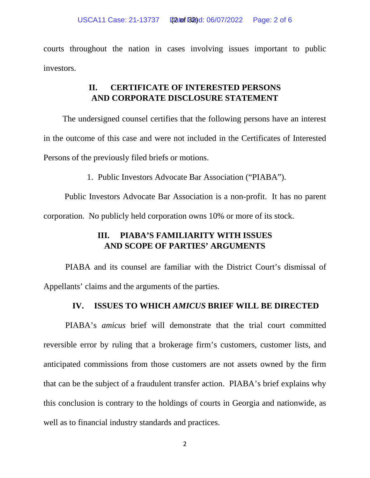courts throughout the nation in cases involving issues important to public investors.

# **II. CERTIFICATE OF INTERESTED PERSONS AND CORPORATE DISCLOSURE STATEMENT**

The undersigned counsel certifies that the following persons have an interest in the outcome of this case and were not included in the Certificates of Interested Persons of the previously filed briefs or motions.

1. Public Investors Advocate Bar Association ("PIABA").

Public Investors Advocate Bar Association is a non-profit. It has no parent corporation. No publicly held corporation owns 10% or more of its stock.

# **III. PIABA'S FAMILIARITY WITH ISSUES AND SCOPE OF PARTIES' ARGUMENTS**

PIABA and its counsel are familiar with the District Court's dismissal of Appellants' claims and the arguments of the parties.

## **IV. ISSUES TO WHICH** *AMICUS* **BRIEF WILL BE DIRECTED**

PIABA's *amicus* brief will demonstrate that the trial court committed reversible error by ruling that a brokerage firm's customers, customer lists, and anticipated commissions from those customers are not assets owned by the firm that can be the subject of a fraudulent transfer action. PIABA's brief explains why this conclusion is contrary to the holdings of courts in Georgia and nationwide, as well as to financial industry standards and practices.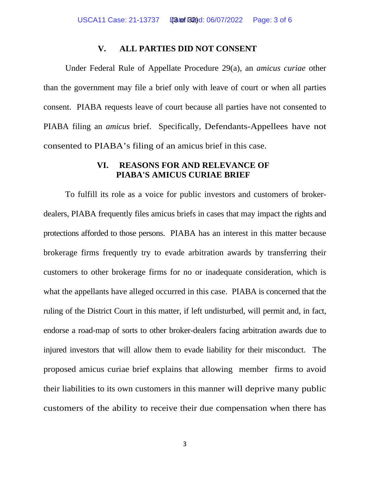#### **V. ALL PARTIES DID NOT CONSENT**

Under Federal Rule of Appellate Procedure 29(a), an *amicus curiae* other than the government may file a brief only with leave of court or when all parties consent. PIABA requests leave of court because all parties have not consented to PIABA filing an *amicus* brief. Specifically, Defendants-Appellees have not consented to PIABA's filing of an amicus brief in this case.

## **VI. REASONS FOR AND RELEVANCE OF PIABA'S AMICUS CURIAE BRIEF**

To fulfill its role as a voice for public investors and customers of brokerdealers, PIABA frequently files amicus briefs in cases that may impact the rights and protections afforded to those persons. PIABA has an interest in this matter because brokerage firms frequently try to evade arbitration awards by transferring their customers to other brokerage firms for no or inadequate consideration, which is what the appellants have alleged occurred in this case. PIABA is concerned that the ruling of the District Court in this matter, if left undisturbed, will permit and, in fact, endorse a road-map of sorts to other broker-dealers facing arbitration awards due to injured investors that will allow them to evade liability for their misconduct. The proposed amicus curiae brief explains that allowing member firms to avoid their liabilities to its own customers in this manner will deprive many public customers of the ability to receive their due compensation when there has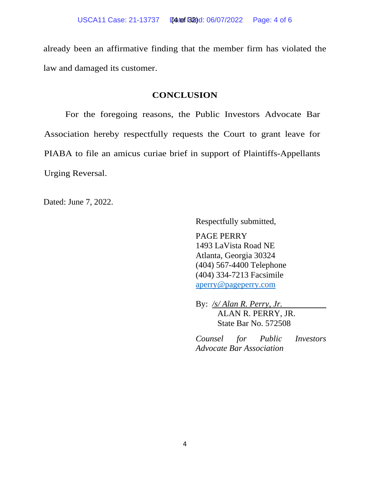already been an affirmative finding that the member firm has violated the law and damaged its customer.

### **CONCLUSION**

For the foregoing reasons, the Public Investors Advocate Bar Association hereby respectfully requests the Court to grant leave for PIABA to file an amicus curiae brief in support of Plaintiffs-Appellants Urging Reversal.

Dated: June 7, 2022.

Respectfully submitted,

PAGE PERRY 1493 LaVista Road NE Atlanta, Georgia 30324 (404) 567-4400 Telephone (404) 334-7213 Facsimile [aperry@pageperry.com](mailto:aperry@pageperry.com)

By: */s/ Alan R. Perry, Jr.* ALAN R. PERRY, JR. State Bar No. 572508

*Counsel for Public Investors Advocate Bar Association*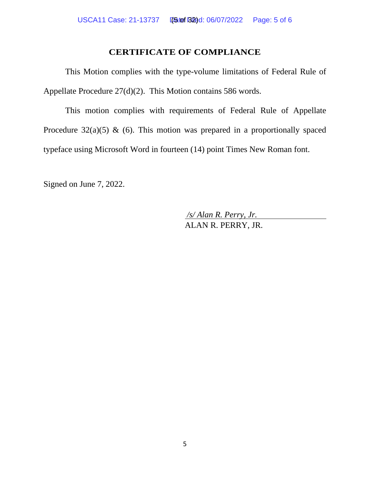## **CERTIFICATE OF COMPLIANCE**

This Motion complies with the type-volume limitations of Federal Rule of Appellate Procedure 27(d)(2). This Motion contains 586 words.

This motion complies with requirements of Federal Rule of Appellate Procedure  $32(a)(5)$  & (6). This motion was prepared in a proportionally spaced typeface using Microsoft Word in fourteen (14) point Times New Roman font.

Signed on June 7, 2022.

*/s/ Alan R. Perry, Jr.* ALAN R. PERRY, JR.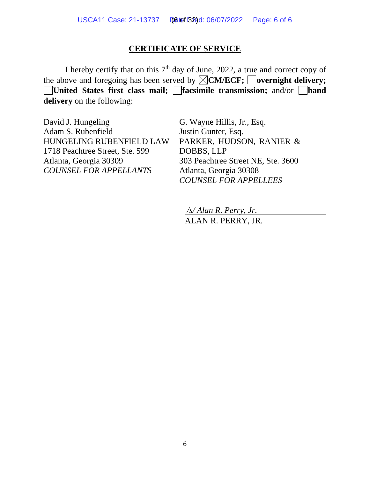## **CERTIFICATE OF SERVICE**

I hereby certify that on this 7<sup>th</sup> day of June, 2022, a true and correct copy of the above and foregoing has been served by  $\boxtimes$  **CM/ECF;** overnight delivery; **United States first class mail; I facsimile transmission; and/or I hand delivery** on the following:

David J. Hungeling Adam S. Rubenfield HUNGELING RUBENFIELD LAW 1718 Peachtree Street, Ste. 599 Atlanta, Georgia 30309 *COUNSEL FOR APPELLANTS*

G. Wayne Hillis, Jr., Esq. Justin Gunter, Esq. PARKER, HUDSON, RANIER & DOBBS, LLP 303 Peachtree Street NE, Ste. 3600 Atlanta, Georgia 30308 *COUNSEL FOR APPELLEES*

*/s/ Alan R. Perry, Jr.* ALAN R. PERRY, JR.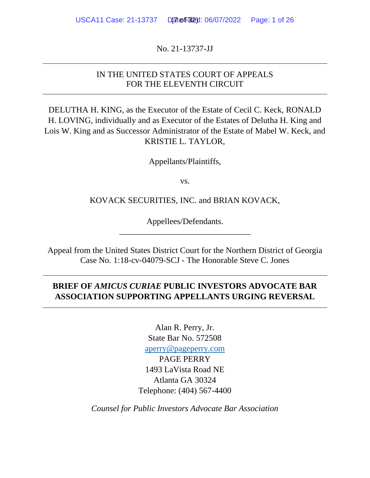No. 21-13737-JJ

## IN THE UNITED STATES COURT OF APPEALS FOR THE ELEVENTH CIRCUIT

DELUTHA H. KING, as the Executor of the Estate of Cecil C. Keck, RONALD H. LOVING, individually and as Executor of the Estates of Delutha H. King and Lois W. King and as Successor Administrator of the Estate of Mabel W. Keck, and KRISTIE L. TAYLOR,

Appellants/Plaintiffs,

vs.

KOVACK SECURITIES, INC. and BRIAN KOVACK,

Appellees/Defendants. \_\_\_\_\_\_\_\_\_\_\_\_\_\_\_\_\_\_\_\_\_\_\_\_\_\_\_\_\_\_\_

Appeal from the United States District Court for the Northern District of Georgia Case No. 1:18-cv-04079-SCJ - The Honorable Steve C. Jones

# **BRIEF OF** *AMICUS CURIAE* **PUBLIC INVESTORS ADVOCATE BAR ASSOCIATION SUPPORTING APPELLANTS URGING REVERSAL**

Alan R. Perry, Jr. State Bar No. 572508 [aperry@pageperry.com](mailto:aperry@pageperry.com) PAGE PERRY 1493 LaVista Road NE Atlanta GA 30324 Telephone: (404) 567-4400

*Counsel for Public Investors Advocate Bar Association*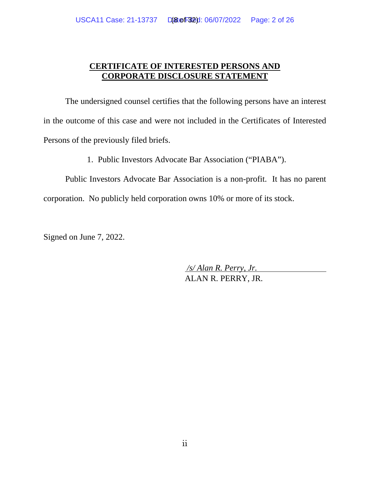## **CERTIFICATE OF INTERESTED PERSONS AND CORPORATE DISCLOSURE STATEMENT**

The undersigned counsel certifies that the following persons have an interest in the outcome of this case and were not included in the Certificates of Interested Persons of the previously filed briefs.

1. Public Investors Advocate Bar Association ("PIABA").

Public Investors Advocate Bar Association is a non-profit. It has no parent corporation. No publicly held corporation owns 10% or more of its stock.

Signed on June 7, 2022.

*/s/ Alan R. Perry, Jr.* ALAN R. PERRY, JR.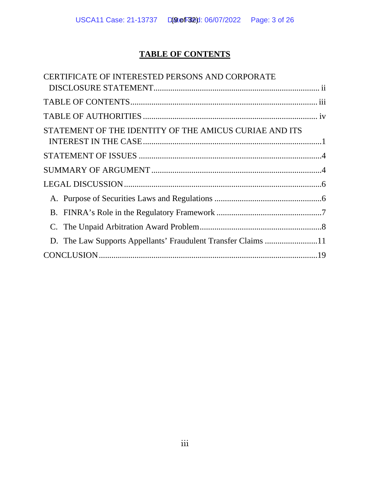# **TABLE OF CONTENTS**

| CERTIFICATE OF INTERESTED PERSONS AND CORPORATE               |  |
|---------------------------------------------------------------|--|
|                                                               |  |
|                                                               |  |
|                                                               |  |
| STATEMENT OF THE IDENTITY OF THE AMICUS CURIAE AND ITS        |  |
|                                                               |  |
|                                                               |  |
|                                                               |  |
|                                                               |  |
|                                                               |  |
|                                                               |  |
|                                                               |  |
| D. The Law Supports Appellants' Fraudulent Transfer Claims 11 |  |
|                                                               |  |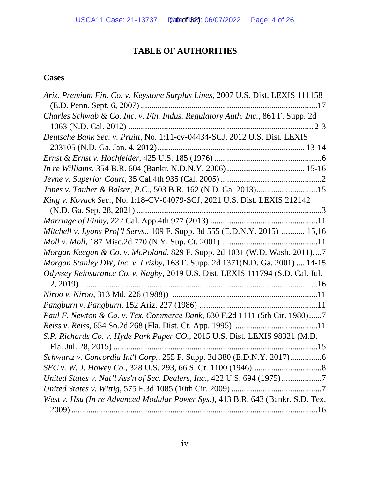# **TABLE OF AUTHORITIES**

# **Cases**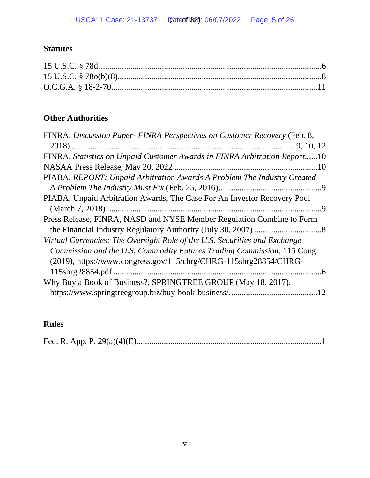# **Statutes**

# **Other Authorities**

| FINRA, Discussion Paper- FINRA Perspectives on Customer Recovery (Feb. 8,  |
|----------------------------------------------------------------------------|
|                                                                            |
| FINRA, Statistics on Unpaid Customer Awards in FINRA Arbitration Report10  |
|                                                                            |
| PIABA, REPORT: Unpaid Arbitration Awards A Problem The Industry Created -  |
|                                                                            |
| PIABA, Unpaid Arbitration Awards, The Case For An Investor Recovery Pool   |
|                                                                            |
| Press Release, FINRA, NASD and NYSE Member Regulation Combine to Form      |
|                                                                            |
| Virtual Currencies: The Oversight Role of the U.S. Securities and Exchange |
| Commission and the U.S. Commodity Futures Trading Commission, 115 Cong.    |
| (2019), https://www.congress.gov/115/chrg/CHRG-115shrg28854/CHRG-          |
|                                                                            |
| Why Buy a Book of Business?, SPRINGTREE GROUP (May 18, 2017),              |
| .12                                                                        |

# **Rules**

|--|--|--|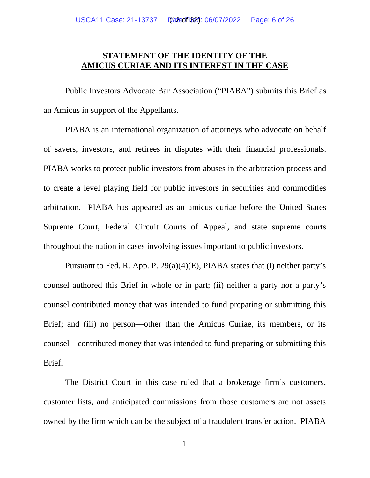## **STATEMENT OF THE IDENTITY OF THE AMICUS CURIAE AND ITS INTEREST IN THE CASE**

Public Investors Advocate Bar Association ("PIABA") submits this Brief as an Amicus in support of the Appellants.

PIABA is an international organization of attorneys who advocate on behalf of savers, investors, and retirees in disputes with their financial professionals. PIABA works to protect public investors from abuses in the arbitration process and to create a level playing field for public investors in securities and commodities arbitration. PIABA has appeared as an amicus curiae before the United States Supreme Court, Federal Circuit Courts of Appeal, and state supreme courts throughout the nation in cases involving issues important to public investors.

Pursuant to Fed. R. App. P. 29(a)(4)(E), PIABA states that (i) neither party's counsel authored this Brief in whole or in part; (ii) neither a party nor a party's counsel contributed money that was intended to fund preparing or submitting this Brief; and (iii) no person—other than the Amicus Curiae, its members, or its counsel—contributed money that was intended to fund preparing or submitting this Brief.

The District Court in this case ruled that a brokerage firm's customers, customer lists, and anticipated commissions from those customers are not assets owned by the firm which can be the subject of a fraudulent transfer action. PIABA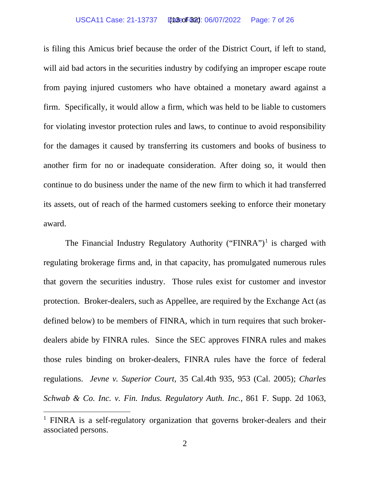#### USCA11 Case: 21-13737 Date Filed: 06/07/2022 Page: 7 of 26 (13 of 32)

is filing this Amicus brief because the order of the District Court, if left to stand, will aid bad actors in the securities industry by codifying an improper escape route from paying injured customers who have obtained a monetary award against a firm. Specifically, it would allow a firm, which was held to be liable to customers for violating investor protection rules and laws, to continue to avoid responsibility for the damages it caused by transferring its customers and books of business to another firm for no or inadequate consideration. After doing so, it would then continue to do business under the name of the new firm to which it had transferred its assets, out of reach of the harmed customers seeking to enforce their monetary award.

The Financial Industry Regulatory Authority ("FINRA")<sup>[1](#page-22-0)</sup> is charged with regulating brokerage firms and, in that capacity, has promulgated numerous rules that govern the securities industry. Those rules exist for customer and investor protection. Broker-dealers, such as Appellee, are required by the Exchange Act (as defined below) to be members of FINRA, which in turn requires that such brokerdealers abide by FINRA rules. Since the SEC approves FINRA rules and makes those rules binding on broker-dealers, FINRA rules have the force of federal regulations. *Jevne v. Superior Court,* 35 Cal.4th 935, 953 (Cal. 2005); *Charles Schwab & Co. Inc. v. Fin. Indus. Regulatory Auth. Inc.*, 861 F. Supp. 2d 1063,

<sup>&</sup>lt;sup>1</sup> FINRA is a self-regulatory organization that governs broker-dealers and their associated persons.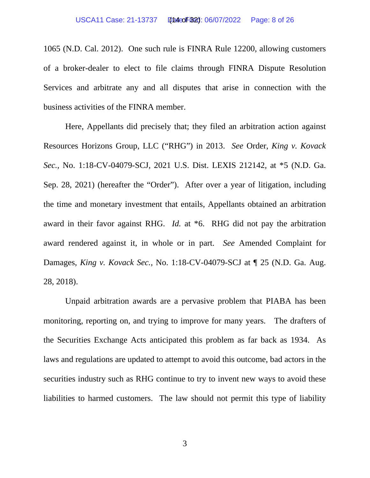1065 (N.D. Cal. 2012). One such rule is FINRA Rule 12200, allowing customers of a broker-dealer to elect to file claims through FINRA Dispute Resolution Services and arbitrate any and all disputes that arise in connection with the business activities of the FINRA member.

Here, Appellants did precisely that; they filed an arbitration action against Resources Horizons Group, LLC ("RHG") in 2013. *See* Order, *King v. Kovack Sec.,* No. 1:18-CV-04079-SCJ, 2021 U.S. Dist. LEXIS 212142, at \*5 (N.D. Ga. Sep. 28, 2021) (hereafter the "Order"). After over a year of litigation, including the time and monetary investment that entails, Appellants obtained an arbitration award in their favor against RHG. *Id.* at \*6. RHG did not pay the arbitration award rendered against it, in whole or in part. *See* Amended Complaint for Damages, *King v. Kovack Sec.,* No. 1:18-CV-04079-SCJ at ¶ 25 (N.D. Ga. Aug. 28, 2018).

Unpaid arbitration awards are a pervasive problem that PIABA has been monitoring, reporting on, and trying to improve for many years. The drafters of the Securities Exchange Acts anticipated this problem as far back as 1934. As laws and regulations are updated to attempt to avoid this outcome, bad actors in the securities industry such as RHG continue to try to invent new ways to avoid these liabilities to harmed customers. The law should not permit this type of liability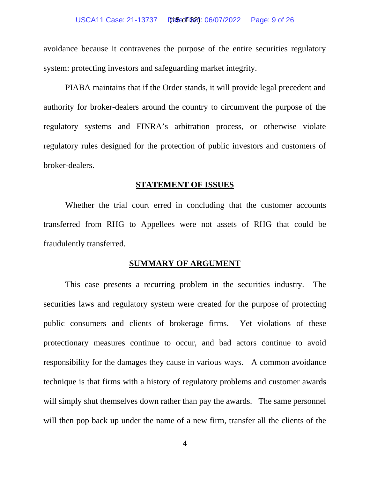#### USCA11 Case: 21-13737 Datsof B21: 06/07/2022 Page: 9 of 26

avoidance because it contravenes the purpose of the entire securities regulatory system: protecting investors and safeguarding market integrity.

PIABA maintains that if the Order stands, it will provide legal precedent and authority for broker-dealers around the country to circumvent the purpose of the regulatory systems and FINRA's arbitration process, or otherwise violate regulatory rules designed for the protection of public investors and customers of broker-dealers.

#### **STATEMENT OF ISSUES**

Whether the trial court erred in concluding that the customer accounts transferred from RHG to Appellees were not assets of RHG that could be fraudulently transferred.

#### **SUMMARY OF ARGUMENT**

This case presents a recurring problem in the securities industry. The securities laws and regulatory system were created for the purpose of protecting public consumers and clients of brokerage firms. Yet violations of these protectionary measures continue to occur, and bad actors continue to avoid responsibility for the damages they cause in various ways. A common avoidance technique is that firms with a history of regulatory problems and customer awards will simply shut themselves down rather than pay the awards. The same personnel will then pop back up under the name of a new firm, transfer all the clients of the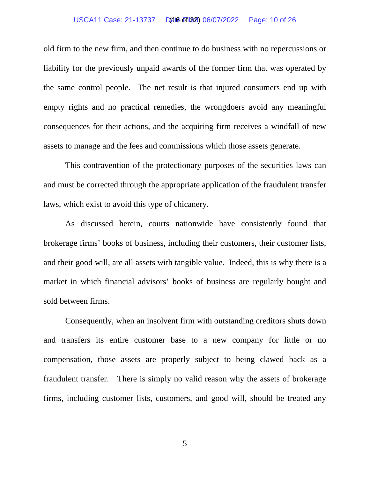#### USCA11 Case: 21-13737 D(at 6 of 182) 06/07/2022 Page: 10 of 26

old firm to the new firm, and then continue to do business with no repercussions or liability for the previously unpaid awards of the former firm that was operated by the same control people. The net result is that injured consumers end up with empty rights and no practical remedies, the wrongdoers avoid any meaningful consequences for their actions, and the acquiring firm receives a windfall of new assets to manage and the fees and commissions which those assets generate.

This contravention of the protectionary purposes of the securities laws can and must be corrected through the appropriate application of the fraudulent transfer laws, which exist to avoid this type of chicanery.

As discussed herein, courts nationwide have consistently found that brokerage firms' books of business, including their customers, their customer lists, and their good will, are all assets with tangible value. Indeed, this is why there is a market in which financial advisors' books of business are regularly bought and sold between firms.

Consequently, when an insolvent firm with outstanding creditors shuts down and transfers its entire customer base to a new company for little or no compensation, those assets are properly subject to being clawed back as a fraudulent transfer. There is simply no valid reason why the assets of brokerage firms, including customer lists, customers, and good will, should be treated any

5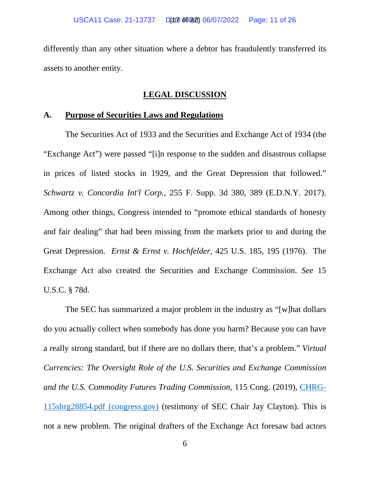differently than any other situation where a debtor has fraudulently transferred its assets to another entity.

### **LEGAL DISCUSSION**

#### **A. Purpose of Securities Laws and Regulations**

The Securities Act of 1933 and the Securities and Exchange Act of 1934 (the "Exchange Act") were passed "[i]n response to the sudden and disastrous collapse in prices of listed stocks in 1929, and the Great Depression that followed." *Schwartz v. Concordia Int'l Corp.*, 255 F. Supp. 3d 380, 389 (E.D.N.Y. 2017). Among other things, Congress intended to "promote ethical standards of honesty and fair dealing" that had been missing from the markets prior to and during the Great Depression. *Ernst & Ernst v. Hochfelder,* 425 U.S. 185, 195 (1976). The Exchange Act also created the Securities and Exchange Commission. *See* 15 U.S.C. § 78d.

The SEC has summarized a major problem in the industry as "[w]hat dollars do you actually collect when somebody has done you harm? Because you can have a really strong standard, but if there are no dollars there, that's a problem." *Virtual Currencies: The Oversight Role of the U.S. Securities and Exchange Commission and the U.S. Commodity Futures Trading Commission*, 115 Cong. (2019), [CHRG-](https://www.congress.gov/115/chrg/CHRG-115shrg28854/CHRG-115shrg28854.pdf)[115shrg28854.pdf \(congress.gov\)](https://www.congress.gov/115/chrg/CHRG-115shrg28854/CHRG-115shrg28854.pdf) (testimony of SEC Chair Jay Clayton). This is not a new problem. The original drafters of the Exchange Act foresaw bad actors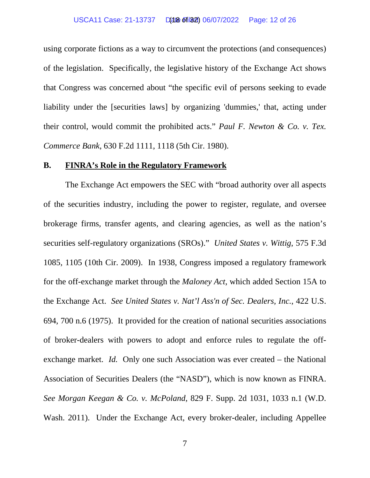#### USCA11 Case: 21-13737 D(at 6 of 182) 06/07/2022 Page: 12 of 26

using corporate fictions as a way to circumvent the protections (and consequences) of the legislation. Specifically, the legislative history of the Exchange Act shows that Congress was concerned about "the specific evil of persons seeking to evade liability under the [securities laws] by organizing 'dummies,' that, acting under their control, would commit the prohibited acts." *Paul F. Newton & Co. v. Tex. Commerce Bank*, 630 F.2d 1111, 1118 (5th Cir. 1980).

#### **B. FINRA's Role in the Regulatory Framework**

The Exchange Act empowers the SEC with "broad authority over all aspects of the securities industry, including the power to register, regulate, and oversee brokerage firms, transfer agents, and clearing agencies, as well as the nation's securities self-regulatory organizations (SROs)." *United States v. Wittig*, 575 F.3d 1085, 1105 (10th Cir. 2009). In 1938, Congress imposed a regulatory framework for the off-exchange market through the *Maloney Act*, which added Section 15A to the Exchange Act. *See United States v. Nat'l Ass'n of Sec. Dealers, Inc.*, 422 U.S. 694, 700 n.6 (1975). It provided for the creation of national securities associations of broker-dealers with powers to adopt and enforce rules to regulate the offexchange market. *Id.* Only one such Association was ever created – the National Association of Securities Dealers (the "NASD"), which is now known as FINRA. *See Morgan Keegan & Co. v. McPoland*, 829 F. Supp. 2d 1031, 1033 n.1 (W.D. Wash. 2011). Under the Exchange Act, every broker-dealer, including Appellee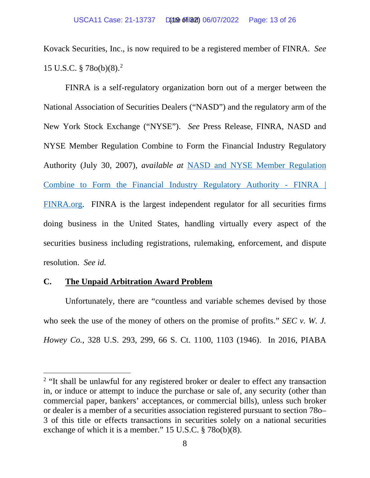Kovack Securities, Inc., is now required to be a registered member of FINRA. *See* 15 U.S.C. § 78o(b)(8). [2](#page-22-0)

FINRA is a self-regulatory organization born out of a merger between the National Association of Securities Dealers ("NASD") and the regulatory arm of the New York Stock Exchange ("NYSE"). *See* Press Release, FINRA, NASD and NYSE Member Regulation Combine to Form the Financial Industry Regulatory Authority (July 30, 2007), *available at* [NASD and NYSE Member Regulation](https://www.finra.org/media-center/news-releases/2007/nasd-and-nyse-member-regulation-combine-form-financial-industry)  [Combine to Form the Financial Industry Regulatory Authority -](https://www.finra.org/media-center/news-releases/2007/nasd-and-nyse-member-regulation-combine-form-financial-industry) FINRA | [FINRA.org.](https://www.finra.org/media-center/news-releases/2007/nasd-and-nyse-member-regulation-combine-form-financial-industry) FINRA is the largest independent regulator for all securities firms doing business in the United States, handling virtually every aspect of the securities business including registrations, rulemaking, enforcement, and dispute resolution. *See id.*

## **C. The Unpaid Arbitration Award Problem**

Unfortunately, there are "countless and variable schemes devised by those who seek the use of the money of others on the promise of profits." *SEC v. W. J. Howey Co.*, 328 U.S. 293, 299, 66 S. Ct. 1100, 1103 (1946). In 2016, PIABA

<sup>&</sup>lt;sup>2</sup> "It shall be unlawful for any registered broker or dealer to effect any transaction in, or induce or attempt to induce the purchase or sale of, any security (other than commercial paper, bankers' acceptances, or commercial bills), unless such broker or dealer is a member of a securities association registered pursuant to section 78o– 3 of this title or effects transactions in securities solely on a national securities exchange of which it is a member." 15 U.S.C. § 78o(b)(8).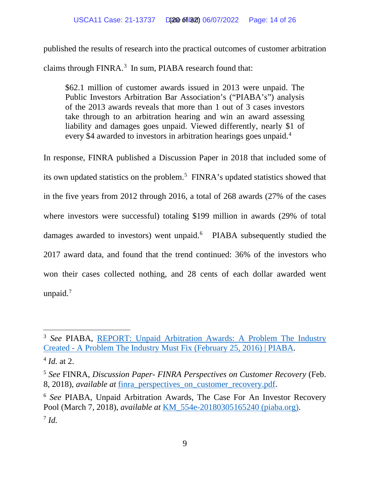published the results of research into the practical outcomes of customer arbitration claims through FINRA.<sup>[3](#page-22-0)</sup> In sum, PIABA research found that:

\$62.1 million of customer awards issued in 2013 were unpaid. The Public Investors Arbitration Bar Association's ("PIABA's") analysis of the 2013 awards reveals that more than 1 out of 3 cases investors take through to an arbitration hearing and win an award assessing liability and damages goes unpaid. Viewed differently, nearly \$1 of every \$[4](#page-22-0) awarded to investors in arbitration hearings goes unpaid.<sup>4</sup>

In response, FINRA published a Discussion Paper in 2018 that included some of its own updated statistics on the problem.[5](#page-22-0) FINRA's updated statistics showed that in the five years from 2012 through 2016, a total of 268 awards (27% of the cases where investors were successful) totaling \$199 million in awards (29% of total damages awarded to investors) went unpaid.<sup>[6](#page-22-0)</sup> PIABA subsequently studied the 2017 award data, and found that the trend continued: 36% of the investors who won their cases collected nothing, and 28 cents of each dollar awarded went unpaid. $7$ 

<sup>3</sup> *See* PIABA, [REPORT: Unpaid Arbitration Awards: A Problem The Industry](https://piaba.org/piaba-newsroom/report-unpaid-arbitration-awards-problem-industry-created-problem-industry-must-fix)  Created - [A Problem The Industry Must Fix \(February 25, 2016\) | PIABA.](https://piaba.org/piaba-newsroom/report-unpaid-arbitration-awards-problem-industry-created-problem-industry-must-fix)

 $^{4}$  *Id.* at 2.

<sup>5</sup> *See* FINRA, *Discussion Paper- FINRA Perspectives on Customer Recovery* (Feb. 8, 2018), *available at* [finra\\_perspectives\\_on\\_customer\\_recovery.pdf.](https://www.finra.org/sites/default/files/finra_perspectives_on_customer_recovery.pdf)

<sup>6</sup> *See* PIABA, Unpaid Arbitration Awards, The Case For An Investor Recovery Pool (March 7, 2018), *available at* [KM\\_554e-20180305165240 \(piaba.org\).](https://piaba.org/system/files/2022-01/REPORT%20-%20Unpaid%20Arbitration%20Awards%20%28March%207%2C%202018%29.pdf) <sup>7</sup> *Id.*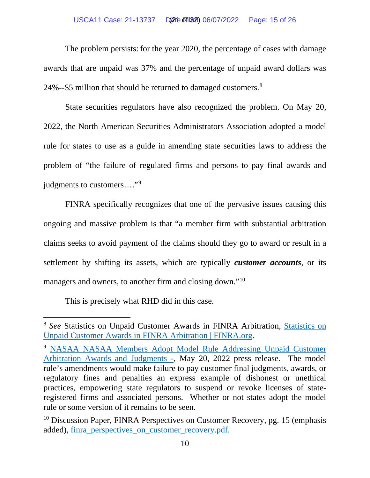#### USCA11 Case: 21-13737 D(20t of 182) 06/07/2022 Page: 15 of 26

The problem persists: for the year 2020, the percentage of cases with damage awards that are unpaid was 37% and the percentage of unpaid award dollars was 24%--\$5 million that should be returned to damaged customers. $8$ 

State securities regulators have also recognized the problem. On May 20, 2022, the North American Securities Administrators Association adopted a model rule for states to use as a guide in amending state securities laws to address the problem of "the failure of regulated firms and persons to pay final awards and judgments to customers…."[9](#page-22-0)

FINRA specifically recognizes that one of the pervasive issues causing this ongoing and massive problem is that "a member firm with substantial arbitration claims seeks to avoid payment of the claims should they go to award or result in a settlement by shifting its assets, which are typically *customer accounts*, or its managers and owners, to another firm and closing down."<sup>10</sup>

This is precisely what RHD did in this case.

<sup>&</sup>lt;sup>8</sup> See [Statistics on](https://www.finra.org/arbitration-mediation/statistics-unpaid-customer-awards-finra-arbitration) Unpaid Customer Awards in FINRA Arbitration, **Statistics on** [Unpaid Customer Awards in FINRA Arbitration | FINRA.org.](https://www.finra.org/arbitration-mediation/statistics-unpaid-customer-awards-finra-arbitration)

<sup>9</sup> [NASAA NASAA Members Adopt Model Rule Addressing Unpaid Customer](https://www.nasaa.org/63563/)  [Arbitration Awards and Judgments -,](https://www.nasaa.org/63563/) May 20, 2022 press release. The model rule's amendments would make failure to pay customer final judgments, awards, or regulatory fines and penalties an express example of dishonest or unethical practices, empowering state regulators to suspend or revoke licenses of stateregistered firms and associated persons. Whether or not states adopt the model rule or some version of it remains to be seen.

 $10$  Discussion Paper, FINRA Perspectives on Customer Recovery, pg. 15 (emphasis) added), finra perspectives on customer recovery.pdf.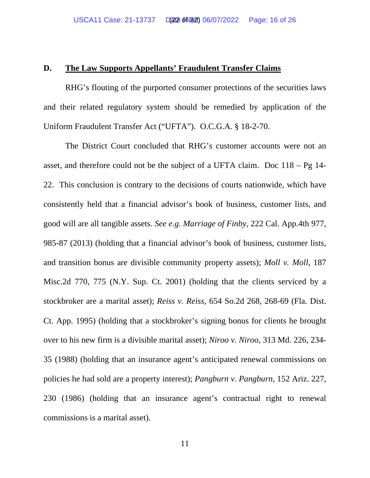## **D. The Law Supports Appellants' Fraudulent Transfer Claims**

RHG's flouting of the purported consumer protections of the securities laws and their related regulatory system should be remedied by application of the Uniform Fraudulent Transfer Act ("UFTA"). O.C.G.A. § 18-2-70.

The District Court concluded that RHG's customer accounts were not an asset, and therefore could not be the subject of a UFTA claim. Doc 118 – Pg 14- 22. This conclusion is contrary to the decisions of courts nationwide, which have consistently held that a financial advisor's book of business, customer lists, and good will are all tangible assets. *See e.g*. *Marriage of Finby,* 222 Cal. App.4th 977, 985-87 (2013) (holding that a financial advisor's book of business, customer lists, and transition bonus are divisible community property assets); *Moll v. Moll,* 187 Misc.2d 770, 775 (N.Y. Sup. Ct. 2001) (holding that the clients serviced by a stockbroker are a marital asset); *Reiss v. Reiss,* 654 So.2d 268, 268-69 (Fla. Dist. Ct. App. 1995) (holding that a stockbroker's signing bonus for clients he brought over to his new firm is a divisible marital asset); *Niroo v. Niroo,* 313 Md. 226, 234- 35 (1988) (holding that an insurance agent's anticipated renewal commissions on policies he had sold are a property interest); *Pangburn v. Pangburn,* 152 Ariz. 227, 230 (1986) (holding that an insurance agent's contractual right to renewal commissions is a marital asset).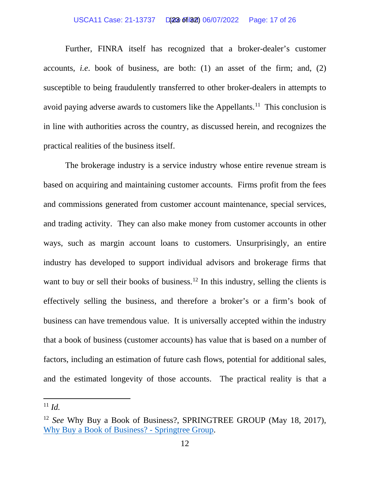#### USCA11 Case: 21-13737 D(23 of 182) 06/07/2022 Page: 17 of 26

Further, FINRA itself has recognized that a broker-dealer's customer accounts, *i.e*. book of business, are both: (1) an asset of the firm; and, (2) susceptible to being fraudulently transferred to other broker-dealers in attempts to avoid paying adverse awards to customers like the Appellants.<sup>[11](#page-22-0)</sup> This conclusion is in line with authorities across the country, as discussed herein, and recognizes the practical realities of the business itself.

The brokerage industry is a service industry whose entire revenue stream is based on acquiring and maintaining customer accounts. Firms profit from the fees and commissions generated from customer account maintenance, special services, and trading activity. They can also make money from customer accounts in other ways, such as margin account loans to customers. Unsurprisingly, an entire industry has developed to support individual advisors and brokerage firms that want to buy or sell their books of business.<sup>[12](#page-22-0)</sup> In this industry, selling the clients is effectively selling the business, and therefore a broker's or a firm's book of business can have tremendous value. It is universally accepted within the industry that a book of business (customer accounts) has value that is based on a number of factors, including an estimation of future cash flows, potential for additional sales, and the estimated longevity of those accounts. The practical reality is that a

 $11$  *Id.* 

<span id="page-22-0"></span><sup>12</sup> *See* Why Buy a Book of Business?, SPRINGTREE GROUP (May 18, 2017), [Why Buy a Book of Business? -](https://www.springtreegroup.biz/buy-book-business/) Springtree Group.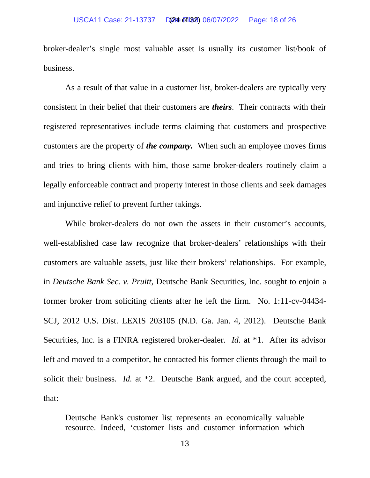broker-dealer's single most valuable asset is usually its customer list/book of business.

As a result of that value in a customer list, broker-dealers are typically very consistent in their belief that their customers are *theirs*. Their contracts with their registered representatives include terms claiming that customers and prospective customers are the property of *the company.* When such an employee moves firms and tries to bring clients with him, those same broker-dealers routinely claim a legally enforceable contract and property interest in those clients and seek damages and injunctive relief to prevent further takings.

While broker-dealers do not own the assets in their customer's accounts, well-established case law recognize that broker-dealers' relationships with their customers are valuable assets, just like their brokers' relationships. For example, in *Deutsche Bank Sec. v. Pruitt,* Deutsche Bank Securities, Inc. sought to enjoin a former broker from soliciting clients after he left the firm. No. 1:11-cv-04434- SCJ, 2012 U.S. Dist. LEXIS 203105 (N.D. Ga. Jan. 4, 2012). Deutsche Bank Securities, Inc. is a FINRA registered broker-dealer. *Id.* at \*1. After its advisor left and moved to a competitor, he contacted his former clients through the mail to solicit their business. *Id.* at \*2. Deutsche Bank argued, and the court accepted, that:

Deutsche Bank's customer list represents an economically valuable resource. Indeed, 'customer lists and customer information which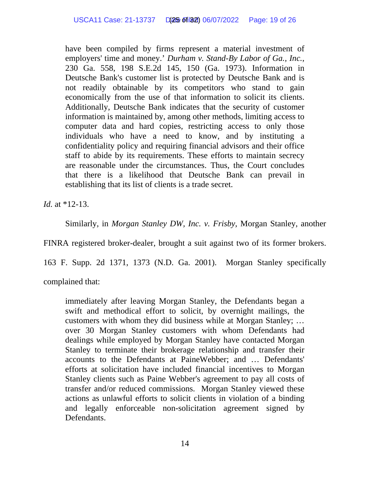have been compiled by firms represent a material investment of employers' time and money.' *Durham v. Stand-By Labor of Ga., Inc.*, 230 Ga. 558, 198 S.E.2d 145, 150 (Ga. 1973). Information in Deutsche Bank's customer list is protected by Deutsche Bank and is not readily obtainable by its competitors who stand to gain economically from the use of that information to solicit its clients. Additionally, Deutsche Bank indicates that the security of customer information is maintained by, among other methods, limiting access to computer data and hard copies, restricting access to only those individuals who have a need to know, and by instituting a confidentiality policy and requiring financial advisors and their office staff to abide by its requirements. These efforts to maintain secrecy are reasonable under the circumstances. Thus, the Court concludes that there is a likelihood that Deutsche Bank can prevail in establishing that its list of clients is a trade secret.

*Id.* at \*12-13.

Similarly, in *Morgan Stanley DW, Inc. v. Frisby*, Morgan Stanley, another

FINRA registered broker-dealer, brought a suit against two of its former brokers.

163 F. Supp. 2d 1371, 1373 (N.D. Ga. 2001). Morgan Stanley specifically

complained that:

immediately after leaving Morgan Stanley, the Defendants began a swift and methodical effort to solicit, by overnight mailings, the customers with whom they did business while at Morgan Stanley; … over 30 Morgan Stanley customers with whom Defendants had dealings while employed by Morgan Stanley have contacted Morgan Stanley to terminate their brokerage relationship and transfer their accounts to the Defendants at PaineWebber; and … Defendants' efforts at solicitation have included financial incentives to Morgan Stanley clients such as Paine Webber's agreement to pay all costs of transfer and/or reduced commissions. Morgan Stanley viewed these actions as unlawful efforts to solicit clients in violation of a binding and legally enforceable non-solicitation agreement signed by Defendants.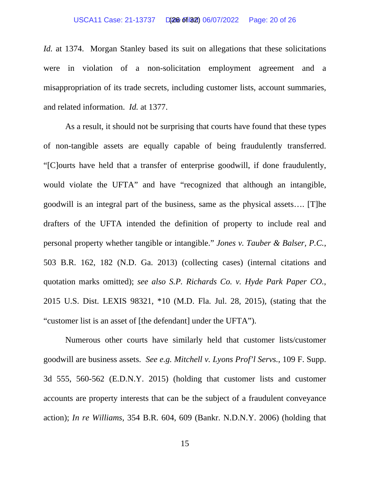#### USCA11 Case: 21-13737 D(26 of 182) 06/07/2022 Page: 20 of 26

*Id.* at 1374. Morgan Stanley based its suit on allegations that these solicitations were in violation of a non-solicitation employment agreement and a misappropriation of its trade secrets, including customer lists, account summaries, and related information. *Id.* at 1377.

As a result, it should not be surprising that courts have found that these types of non-tangible assets are equally capable of being fraudulently transferred. "[C]ourts have held that a transfer of enterprise goodwill, if done fraudulently, would violate the UFTA" and have "recognized that although an intangible, goodwill is an integral part of the business, same as the physical assets…. [T]he drafters of the UFTA intended the definition of property to include real and personal property whether tangible or intangible." *Jones v. Tauber & Balser, P.C.*, 503 B.R. 162, 182 (N.D. Ga. 2013) (collecting cases) (internal citations and quotation marks omitted); *see also S.P. Richards Co. v. Hyde Park Paper CO.*, 2015 U.S. Dist. LEXIS 98321, \*10 (M.D. Fla. Jul. 28, 2015), (stating that the "customer list is an asset of [the defendant] under the UFTA").

Numerous other courts have similarly held that customer lists/customer goodwill are business assets. *See e.g. Mitchell v. Lyons Prof'l Servs.*, 109 F. Supp. 3d 555, 560-562 (E.D.N.Y. 2015) (holding that customer lists and customer accounts are property interests that can be the subject of a fraudulent conveyance action); *In re Williams*, 354 B.R. 604, 609 (Bankr. N.D.N.Y. 2006) (holding that

15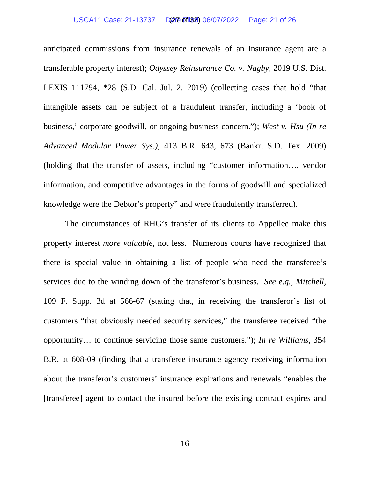anticipated commissions from insurance renewals of an insurance agent are a transferable property interest); *Odyssey Reinsurance Co. v. Nagby*, 2019 U.S. Dist. LEXIS 111794, \*28 (S.D. Cal. Jul. 2, 2019) (collecting cases that hold "that intangible assets can be subject of a fraudulent transfer, including a 'book of business,' corporate goodwill, or ongoing business concern."); *West v. Hsu (In re Advanced Modular Power Sys.)*, 413 B.R. 643, 673 (Bankr. S.D. Tex. 2009) (holding that the transfer of assets, including "customer information…, vendor information, and competitive advantages in the forms of goodwill and specialized knowledge were the Debtor's property" and were fraudulently transferred).

The circumstances of RHG's transfer of its clients to Appellee make this property interest *more valuable*, not less. Numerous courts have recognized that there is special value in obtaining a list of people who need the transferee's services due to the winding down of the transferor's business. *See e.g.*, *Mitchell*, 109 F. Supp. 3d at 566-67 (stating that, in receiving the transferor's list of customers "that obviously needed security services," the transferee received "the opportunity… to continue servicing those same customers."); *In re Williams*, 354 B.R. at 608-09 (finding that a transferee insurance agency receiving information about the transferor's customers' insurance expirations and renewals "enables the [transferee] agent to contact the insured before the existing contract expires and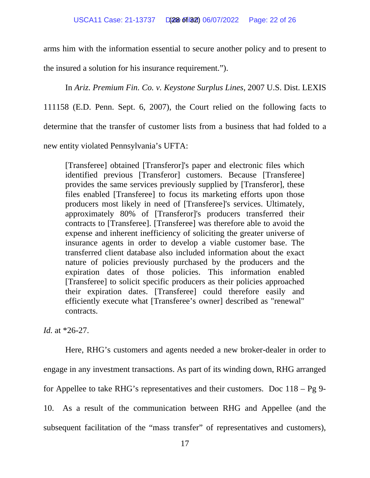arms him with the information essential to secure another policy and to present to

the insured a solution for his insurance requirement.").

In *Ariz. Premium Fin. Co. v. Keystone Surplus Lines*, 2007 U.S. Dist. LEXIS

111158 (E.D. Penn. Sept. 6, 2007), the Court relied on the following facts to

determine that the transfer of customer lists from a business that had folded to a

new entity violated Pennsylvania's UFTA:

[Transferee] obtained [Transferor]'s paper and electronic files which identified previous [Transferor] customers. Because [Transferee] provides the same services previously supplied by [Transferor], these files enabled [Transferee] to focus its marketing efforts upon those producers most likely in need of [Transferee]'s services. Ultimately, approximately 80% of [Transferor]'s producers transferred their contracts to [Transferee]. [Transferee] was therefore able to avoid the expense and inherent inefficiency of soliciting the greater universe of insurance agents in order to develop a viable customer base. The transferred client database also included information about the exact nature of policies previously purchased by the producers and the expiration dates of those policies. This information enabled [Transferee] to solicit specific producers as their policies approached their expiration dates. [Transferee] could therefore easily and efficiently execute what [Transferee's owner] described as "renewal" contracts.

*Id.* at \*26-27.

Here, RHG's customers and agents needed a new broker-dealer in order to engage in any investment transactions. As part of its winding down, RHG arranged for Appellee to take RHG's representatives and their customers. Doc 118 – Pg 9- 10. As a result of the communication between RHG and Appellee (and the subsequent facilitation of the "mass transfer" of representatives and customers),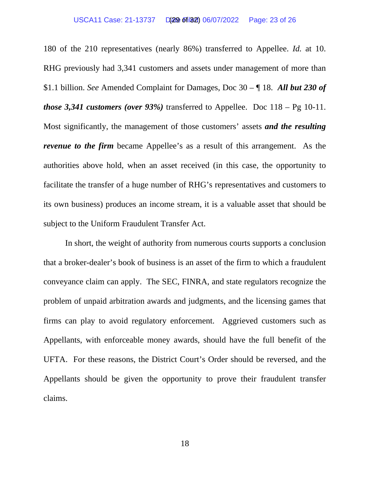180 of the 210 representatives (nearly 86%) transferred to Appellee. *Id.* at 10. RHG previously had 3,341 customers and assets under management of more than \$1.1 billion. *See* Amended Complaint for Damages, Doc 30 – ¶ 18. *All but 230 of those 3,341 customers (over 93%)* transferred to Appellee. Doc  $118 - \text{Pg } 10-11$ . Most significantly, the management of those customers' assets *and the resulting revenue to the firm* became Appellee's as a result of this arrangement. As the authorities above hold, when an asset received (in this case, the opportunity to facilitate the transfer of a huge number of RHG's representatives and customers to its own business) produces an income stream, it is a valuable asset that should be subject to the Uniform Fraudulent Transfer Act.

In short, the weight of authority from numerous courts supports a conclusion that a broker-dealer's book of business is an asset of the firm to which a fraudulent conveyance claim can apply. The SEC, FINRA, and state regulators recognize the problem of unpaid arbitration awards and judgments, and the licensing games that firms can play to avoid regulatory enforcement. Aggrieved customers such as Appellants, with enforceable money awards, should have the full benefit of the UFTA. For these reasons, the District Court's Order should be reversed, and the Appellants should be given the opportunity to prove their fraudulent transfer claims.

18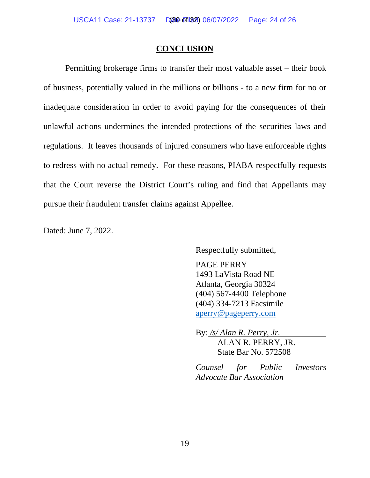### **CONCLUSION**

Permitting brokerage firms to transfer their most valuable asset – their book of business, potentially valued in the millions or billions - to a new firm for no or inadequate consideration in order to avoid paying for the consequences of their unlawful actions undermines the intended protections of the securities laws and regulations. It leaves thousands of injured consumers who have enforceable rights to redress with no actual remedy. For these reasons, PIABA respectfully requests that the Court reverse the District Court's ruling and find that Appellants may pursue their fraudulent transfer claims against Appellee.

Dated: June 7, 2022.

Respectfully submitted,

PAGE PERRY 1493 LaVista Road NE Atlanta, Georgia 30324 (404) 567-4400 Telephone (404) 334-7213 Facsimile aperry@pageperry.com

By: */s/ Alan R. Perry, Jr.* ALAN R. PERRY, JR. State Bar No. 572508

*Counsel for Public Investors Advocate Bar Association*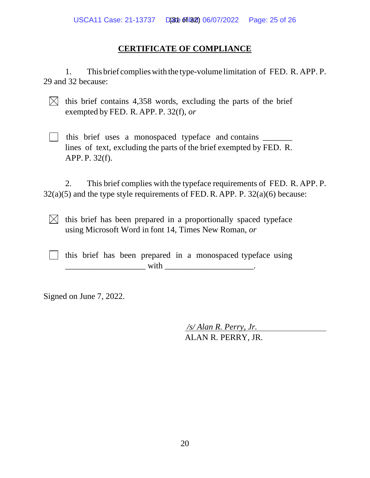# **CERTIFICATE OF COMPLIANCE**

1. This brief complieswith the type-volume limitation of FED. R. APP. P. 29 and 32 because:

 $\boxtimes$  this brief contains 4,358 words, excluding the parts of the brief exempted by FED. R. APP. P. 32(f), *or*

This brief uses a monospaced typeface and contains \_\_\_\_\_\_\_\_ lines of text, excluding the parts of the brief exempted by FED. R. APP. P. 32(f).

2. This brief complies with the typeface requirements of FED. R. APP. P.  $32(a)(5)$  and the type style requirements of FED. R. APP. P.  $32(a)(6)$  because:

 $\boxtimes$  this brief has been prepared in a proportionally spaced typeface using Microsoft Word in font 14, Times New Roman, *or*

 $\vert \cdot \vert$  this brief has been prepared in a monospaced typeface using  $\text{with} \quad$ 

Signed on June 7, 2022.

*/s/ Alan R. Perry, Jr.* ALAN R. PERRY, JR.